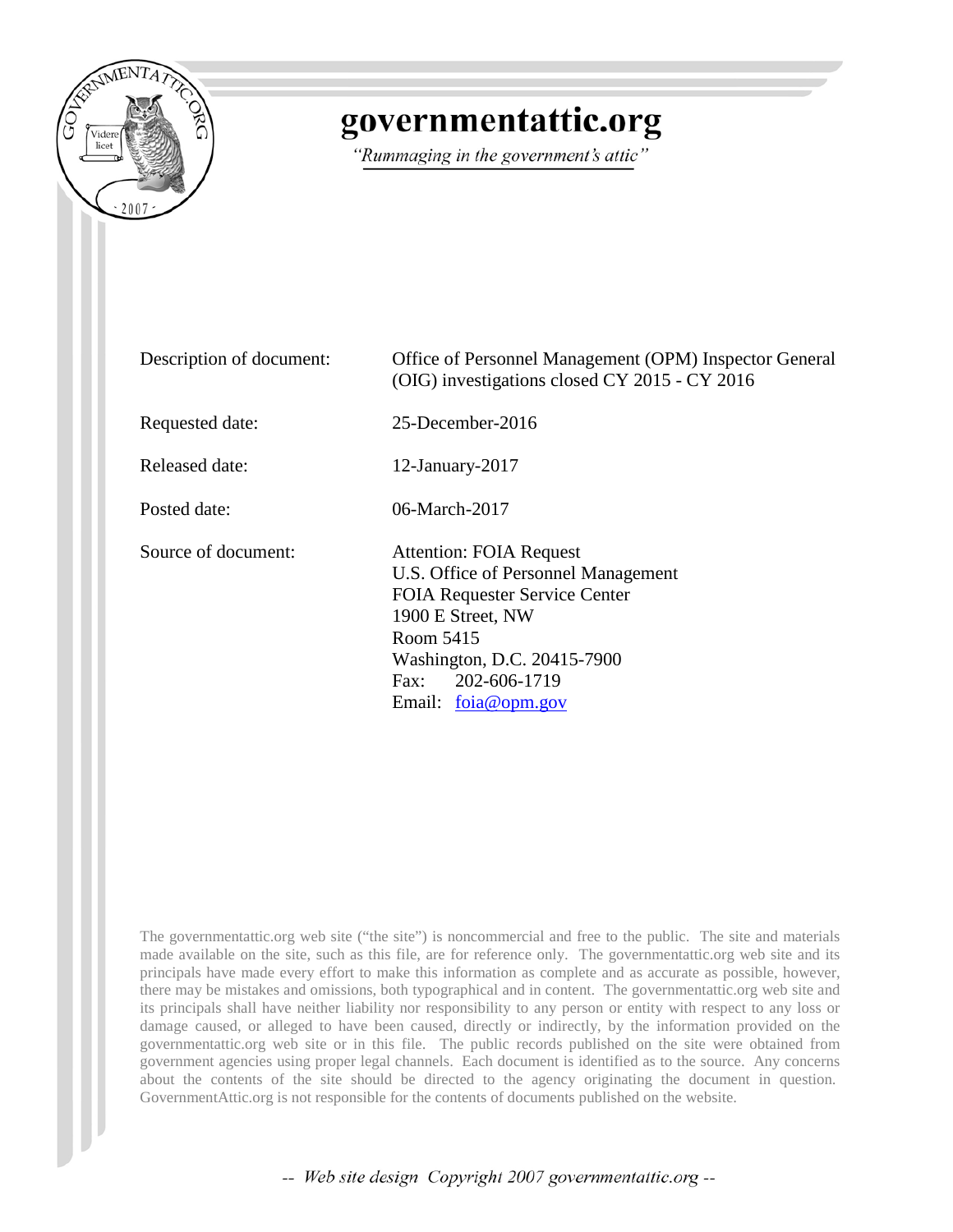

## governmentattic.org

"Rummaging in the government's attic"

Description of document: Office of Personnel Management (OPM) Inspector General (OIG) investigations closed CY 2015 - CY 2016 Requested date: 25-December-2016 Released date: 12-January-2017 Posted date: 06-March-2017 Source of document: Attention: FOIA Request U.S. Office of Personnel Management FOIA Requester Service Center 1900 E Street, NW Room 5415 Washington, D.C. 20415-7900 Fax: 202-606-1719 Email: [foia@opm.gov](javascript:if(typeof(sendEmail)==)

The governmentattic.org web site ("the site") is noncommercial and free to the public. The site and materials made available on the site, such as this file, are for reference only. The governmentattic.org web site and its principals have made every effort to make this information as complete and as accurate as possible, however, there may be mistakes and omissions, both typographical and in content. The governmentattic.org web site and its principals shall have neither liability nor responsibility to any person or entity with respect to any loss or damage caused, or alleged to have been caused, directly or indirectly, by the information provided on the governmentattic.org web site or in this file. The public records published on the site were obtained from government agencies using proper legal channels. Each document is identified as to the source. Any concerns about the contents of the site should be directed to the agency originating the document in question. GovernmentAttic.org is not responsible for the contents of documents published on the website.

-- Web site design Copyright 2007 governmentattic.org --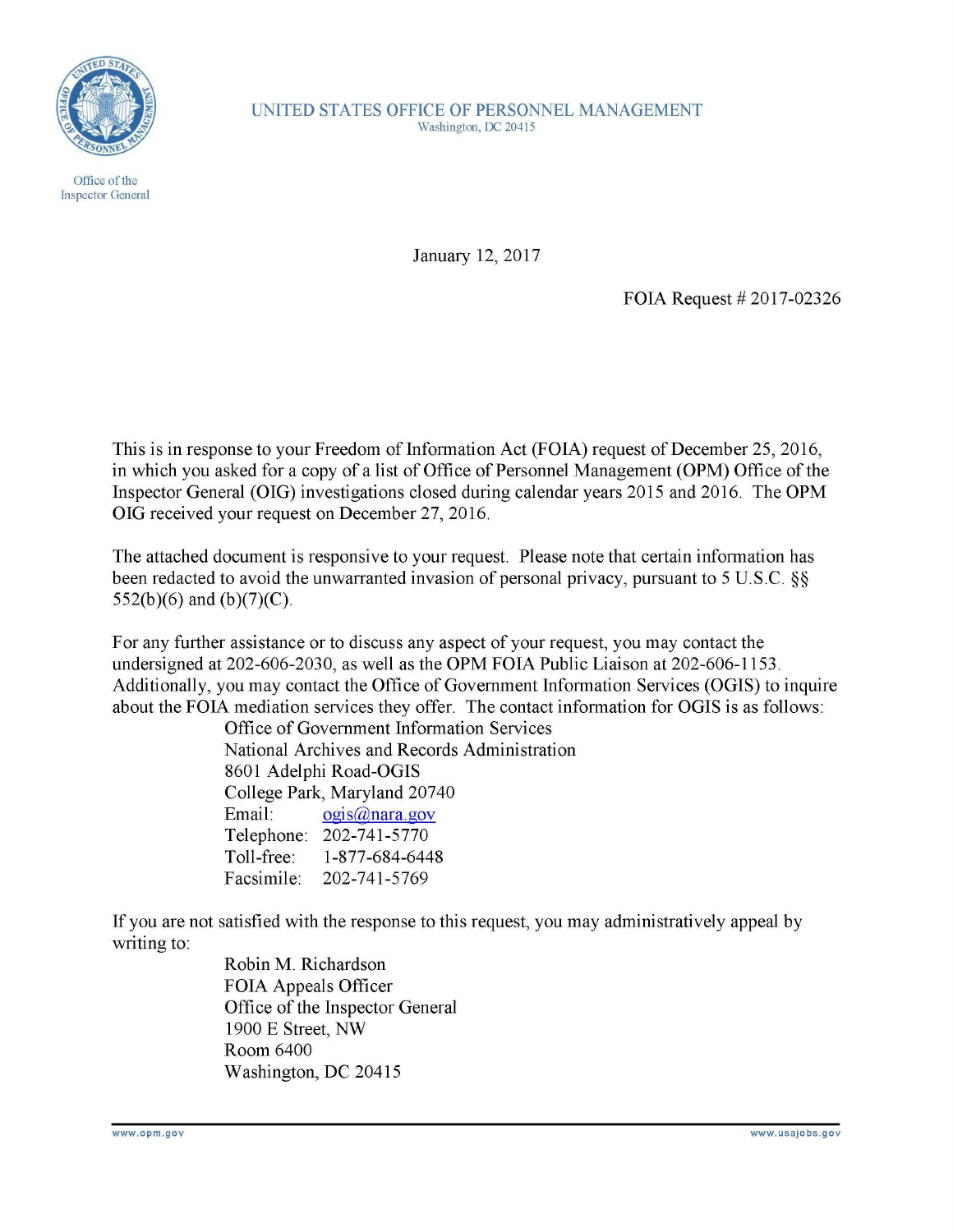

Office of the Inspector General UNITED STATES OFFICE OF PERSONNEL MANAGEMENT Washington, OC 20415

January 12, 2017

FOIA Request # 2017-02326

This is in response to your Freedom of Information Act (FOIA) request of December 25, 2016, in which you asked for a copy of a list of Office of Personnel Management (OPM) Office of the Inspector General (OIG) investigations closed during calendar years 2015 and 2016. The OPM OIG received your request on December 27, 2016.

The attached document is responsive to your request. Please note that certain information has been redacted to avoid the unwarranted invasion of personal privacy, pursuant to 5 U.S.C. §§ 552(b)(6) and (b)(7)(C).

For any further assistance or to discuss any aspect of your request, you may contact the undersigned at 202-606-2030, as well as the OPM FOIA Public Liaison at 202-606-1153. Additionally, you may contact the Office of Government Information Services (OGIS) to inquire about the FOIA mediation services they offer. The contact information for OGIS is as follows:

Office of Government Information Services National Archives and Records Administration 8601 Adelphi Road-OGIS College Park, Maryland 20740 Email: ogis@nara.gov Telephone: 202-741-5770 Toll-free: 1-877-684-6448 Facsimile: 202-741-5769

If you are not satisfied with the response to this request, you may administratively appeal by writing to:

> Robin M. Richardson FOIA Appeals Officer Office of the Inspector General 1900 E Street, NW Room 6400 Washington, DC 20415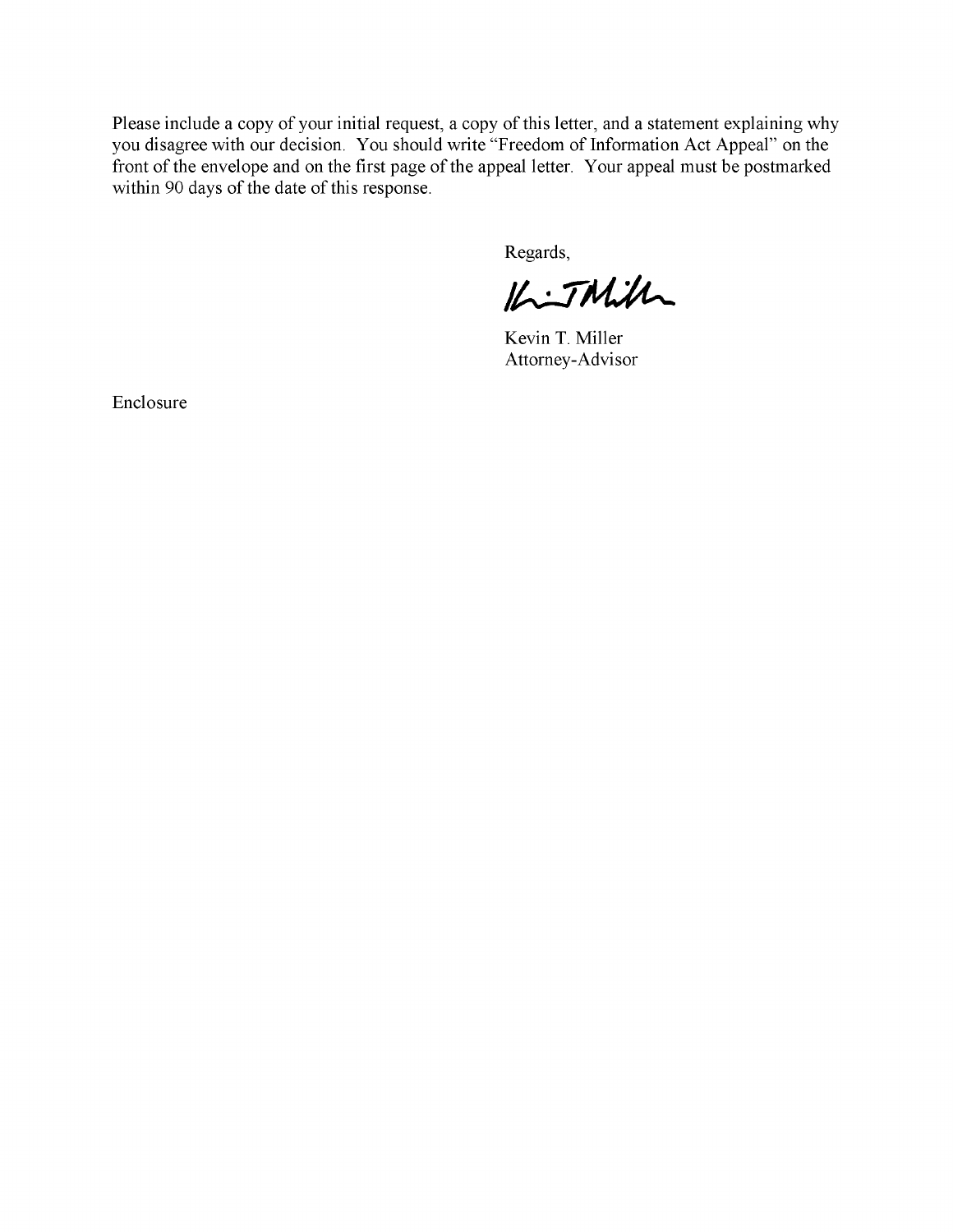Please include a copy of your initial request, a copy of this letter, and a statement explaining why you disagree with our decision. You should write "Freedom of Information Act Appeal" on the front of the envelope and on the first page of the appeal letter. Your appeal must be postmarked within 90 days of the date of this response.

Regards,

 $14.7$ Mill

Kevin T. Miller Attorney-Advisor

Enclosure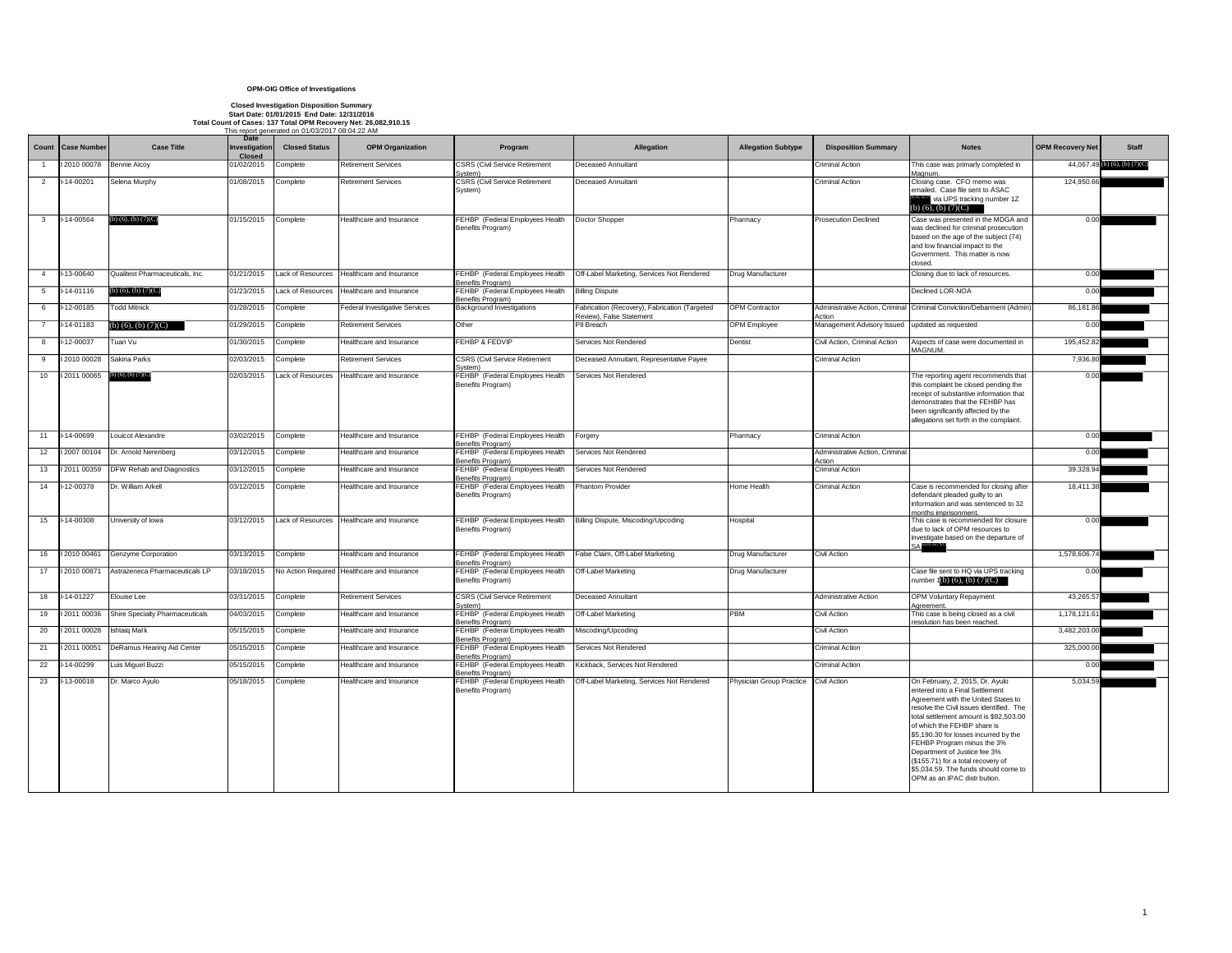|                 |                         |                                        | Date                           | This report generated on 01/03/2017 08:04:22 AM |                                                       |                                                      |                                                                           |                           |                                                 |                                                                                                                                                                                                                                                                                                                                                                                                                                                     |                         |                                 |
|-----------------|-------------------------|----------------------------------------|--------------------------------|-------------------------------------------------|-------------------------------------------------------|------------------------------------------------------|---------------------------------------------------------------------------|---------------------------|-------------------------------------------------|-----------------------------------------------------------------------------------------------------------------------------------------------------------------------------------------------------------------------------------------------------------------------------------------------------------------------------------------------------------------------------------------------------------------------------------------------------|-------------------------|---------------------------------|
|                 | Count   Case Number     | <b>Case Title</b>                      | Investigation<br><b>Closed</b> | <b>Closed Status</b>                            | <b>OPM Organization</b>                               | Program                                              | <b>Allegation</b>                                                         | <b>Allegation Subtype</b> | <b>Disposition Summary</b>                      | <b>Notes</b>                                                                                                                                                                                                                                                                                                                                                                                                                                        | <b>OPM Recovery Net</b> | <b>Staff</b>                    |
|                 | 2010 00078              | Bennie Alcoy                           | 01/02/2015                     | Complete                                        | <b>Retirement Services</b>                            | <b>CSRS (Civil Service Retirement</b><br>System)     | <b>Deceased Annuitant</b>                                                 |                           | <b>Criminal Action</b>                          | This case was primarly completed in<br>Magnum.                                                                                                                                                                                                                                                                                                                                                                                                      |                         | 44,067.49 (b) (6), (b) $(7)(C)$ |
| 2               | $I-14-00201$            | Selena Murphy                          | 01/08/2015                     | Complete                                        | <b>Retirement Services</b>                            | <b>CSRS (Civil Service Retirement</b><br>System)     | <b>Deceased Annuitant</b>                                                 |                           | <b>Criminal Action</b>                          | Closing case. CFO memo was<br>emailed. Case file sent to ASAC<br>via UPS tracking number 1Z<br>(b) $(6)$ , $(b)$ $(7)(C)$                                                                                                                                                                                                                                                                                                                           | 124,950.66              |                                 |
| $\mathbf{3}$    | $I-14-00564$            | (b) $(6)$ , $(b)$ $(7)(C)$             | 01/15/2015                     | Complete                                        | Healthcare and Insurance                              | FEHBP (Federal Employees Health<br>Benefits Program) | Doctor Shopper                                                            | Pharmacy                  | <b>Prosecution Declined</b>                     | Case was presented in the MDGA and<br>was declined for criminal prosecution<br>based on the age of the subject (74)<br>and low financial impact to the<br>Government. This matter is now<br>closed.                                                                                                                                                                                                                                                 | 0.00                    |                                 |
| $\overline{4}$  | I-13-00640              | Qualitest Pharmaceuticals, Inc.        | 01/21/2015                     |                                                 | Lack of Resources Healthcare and Insurance            | FEHBP (Federal Employees Health<br>Benefits Program) | Off-Label Marketing, Services Not Rendered                                | <b>Drug Manufacturer</b>  |                                                 | Closing due to lack of resources.                                                                                                                                                                                                                                                                                                                                                                                                                   | 0.00                    |                                 |
| 5 <sup>5</sup>  | l-14-01116              | (b) $(6)$ , (b) $(7)(C)$               | 01/23/2015                     |                                                 | Lack of Resources   Healthcare and Insurance          | FEHBP (Federal Employees Health<br>Benefits Program) | <b>Billing Dispute</b>                                                    |                           |                                                 | Declined LOR-NOA                                                                                                                                                                                                                                                                                                                                                                                                                                    | 0.00                    |                                 |
| 6               | $-12 - 00185$           | <b>Todd Mitnick</b>                    | 01/28/2015                     | Complete                                        | Federal Investigative Services                        | <b>Background Investigations</b>                     | Fabrication (Recovery), Fabrication (Targeted<br>Review), False Statement | OPM Contractor            | Action                                          | Administrative Action, Criminal Criminal Conviction/Debarment (Admin)                                                                                                                                                                                                                                                                                                                                                                               | 86,181.86               |                                 |
| $\overline{7}$  | $-14 - 01183$           | $(b)$ (6), (b) (7)(C)                  | 01/29/2015                     | Complete                                        | <b>Retirement Services</b>                            | Other                                                | PII Breach                                                                | <b>OPM</b> Employee       | Management Advisory Issued updated as requested |                                                                                                                                                                                                                                                                                                                                                                                                                                                     | 0.00                    |                                 |
| 8               | I-12-00037              | Tuan Vu                                | 01/30/2015                     | Complete                                        | Healthcare and Insurance                              | <b>FEHBP &amp; FEDVIP</b>                            | Services Not Rendered                                                     | Dentist                   | Civil Action, Criminal Action                   | Aspects of case were documented in<br>MAGNUM.                                                                                                                                                                                                                                                                                                                                                                                                       | 195,452.82              |                                 |
| 9               | 2010 00028              | Sakina Parks                           | 02/03/2015                     | Complete                                        | <b>Retirement Services</b>                            | <b>CSRS (Civil Service Retirement</b><br>System)     | Deceased Annuitant, Representative Payee                                  |                           | <b>Criminal Action</b>                          |                                                                                                                                                                                                                                                                                                                                                                                                                                                     | 7,936.80                |                                 |
| 10 <sup>1</sup> | 2011 00065              | (b) $(6)$ , $(b)$ $(7)(C)$             | 02/03/2015                     | Lack of Resources                               | Healthcare and Insurance                              | FEHBP (Federal Employees Health<br>Benefits Program) | <b>Services Not Rendered</b>                                              |                           |                                                 | The reporting agent recommends that<br>this complaint be closed pending the<br>receipt of substantive information that<br>demonstrates that the FEHBP has<br>been significantly affected by the<br>allegations set forth in the complaint.                                                                                                                                                                                                          | 0.00                    |                                 |
| 11              | I-14-00699              | Louicot Alexandre                      | 03/02/2015                     | Complete                                        | Healthcare and Insurance                              | FEHBP (Federal Employees Health<br>Benefits Program) | Forgery                                                                   | Pharmacy                  | <b>Criminal Action</b>                          |                                                                                                                                                                                                                                                                                                                                                                                                                                                     | 0.00                    |                                 |
| 12              | 2007 00104              | Dr. Arnold Nerenberg                   | 03/12/2015                     | Complete                                        | Healthcare and Insurance                              | FEHBP (Federal Employees Health<br>Benefits Program) | Services Not Rendered                                                     |                           | Administrative Action, Criminal<br>Action       |                                                                                                                                                                                                                                                                                                                                                                                                                                                     | 0.00                    |                                 |
| 13              | 2011 00359              | <b>DFW Rehab and Diagnostics</b>       | 03/12/2015                     | Complete                                        | Healthcare and Insurance                              | FEHBP (Federal Employees Health<br>Benefits Program) | Services Not Rendered                                                     |                           | <b>Criminal Action</b>                          |                                                                                                                                                                                                                                                                                                                                                                                                                                                     | 39,328.94               |                                 |
| 14              | $-12 - 00378$           | Dr. William Arkell                     | 03/12/2015                     | Complete                                        | Healthcare and Insurance                              | FEHBP (Federal Employees Health<br>Benefits Program) | <b>Phantom Provider</b>                                                   | Home Health               | Criminal Action                                 | Case is recommended for closing after<br>defendant pleaded guilty to an<br>information and was sentenced to 32<br>months imprisonment.                                                                                                                                                                                                                                                                                                              | 18,411.38               |                                 |
| 15              | $1-14-00308$            | University of Iowa                     |                                |                                                 | 03/12/2015 Lack of Resources Healthcare and Insurance | Benefits Program)                                    | FEHBP (Federal Employees Health   Billing Dispute, Miscoding/Upcoding     | Hospital                  |                                                 | This case is recommended for closure<br>due to lack of OPM resources to<br>investigate based on the departure of                                                                                                                                                                                                                                                                                                                                    | 0.00                    |                                 |
| 16              | 2010 00461              | Genzyme Corporation                    | 03/13/2015                     | Complete                                        | Healthcare and Insurance                              | FEHBP (Federal Employees Health<br>Benefits Program) | False Claim, Off-Label Marketing                                          | Drug Manufacturer         | <b>Civil Action</b>                             |                                                                                                                                                                                                                                                                                                                                                                                                                                                     | 1,578,606.74            |                                 |
| 17              | 2010 00871              | Astrazeneca Pharmaceuticals LP         | 03/18/2015                     |                                                 | No Action Required Healthcare and Insurance           | FEHBP (Federal Employees Health<br>Benefits Program) | <b>Off-Label Marketing</b>                                                | Drug Manufacturer         |                                                 | Case file sent to HQ via UPS tracking<br>number $1(b)$ (6), (b) $(7)(C)$                                                                                                                                                                                                                                                                                                                                                                            | 0.00                    |                                 |
| 18              | $-14 - 01227$           | Elouise Lee                            | 03/31/2015                     | Complete                                        | <b>Retirement Services</b>                            | <b>CSRS (Civil Service Retirement</b><br>System)     | <b>Deceased Annuitant</b>                                                 |                           | <b>Administrative Action</b>                    | <b>OPM Voluntary Repayment</b><br>Agreement.                                                                                                                                                                                                                                                                                                                                                                                                        | 43,265.57               |                                 |
| 19              | 2011 00036              | <b>Shire Specialty Pharmaceuticals</b> | 04/03/2015                     | Complete                                        | Healthcare and Insurance                              | FEHBP (Federal Employees Health<br>Benefits Program) | <b>Off-Label Marketing</b>                                                | <b>PBM</b>                | Civil Action                                    | This case is being closed as a civil<br>resolution has been reached.                                                                                                                                                                                                                                                                                                                                                                                | 1,178,121.61            |                                 |
| 20              | 2011 00028 Ishtaiq Malk |                                        | 05/15/2015                     | Complete                                        | Healthcare and Insurance                              | FEHBP (Federal Employees Health<br>Benefits Program) | Miscoding/Upcoding                                                        |                           | Civil Action                                    |                                                                                                                                                                                                                                                                                                                                                                                                                                                     | 3,482,203.00            |                                 |
| 21              | 2011 00051              | DeRamus Hearing Aid Center             | 05/15/2015                     | Complete                                        | Healthcare and Insurance                              | FEHBP (Federal Employees Health<br>Benefits Program) | Services Not Rendered                                                     |                           | <b>Criminal Action</b>                          |                                                                                                                                                                                                                                                                                                                                                                                                                                                     | 325,000.00              |                                 |
| 22              | $-14 - 00299$           | Luis Miguel Buzzi                      | 05/15/2015                     | Complete                                        | Healthcare and Insurance                              | FEHBP (Federal Employees Health<br>Benefits Program) | Kickback, Services Not Rendered                                           |                           | <b>Criminal Action</b>                          |                                                                                                                                                                                                                                                                                                                                                                                                                                                     | 0.00                    |                                 |
| 23              | $I-13-00018$            | Dr. Marco Ayulo                        | 05/18/2015                     | Complete                                        | Healthcare and Insurance                              | FEHBP (Federal Employees Health<br>Benefits Program) | Off-Label Marketing, Services Not Rendered                                | Physician Group Practice  | Civil Action                                    | On February, 2, 2015, Dr. Ayulo<br>entered into a Final Settlement<br>Agreement with the United States to<br>resolve the Civil issues identified. The<br>total settlement amount is \$92,503.00<br>of which the FEHBP share is<br>\$5,190.30 for losses incurred by the<br>FEHBP Program minus the 3%<br>Department of Justice fee 3%<br>(\$155.71) for a total recovery of<br>\$5,034.59. The funds should come to<br>OPM as an IPAC distr bution. | 5,034.59                |                                 |

## **OPM-OIG Office of Investigations**

## **Closed Investigation Disposition Summary**

**Start Date: 01/01/2015 End Date: 12/31/2016 Total Count of Cases: 137 Total OPM Recovery Net: 26,082,910.15**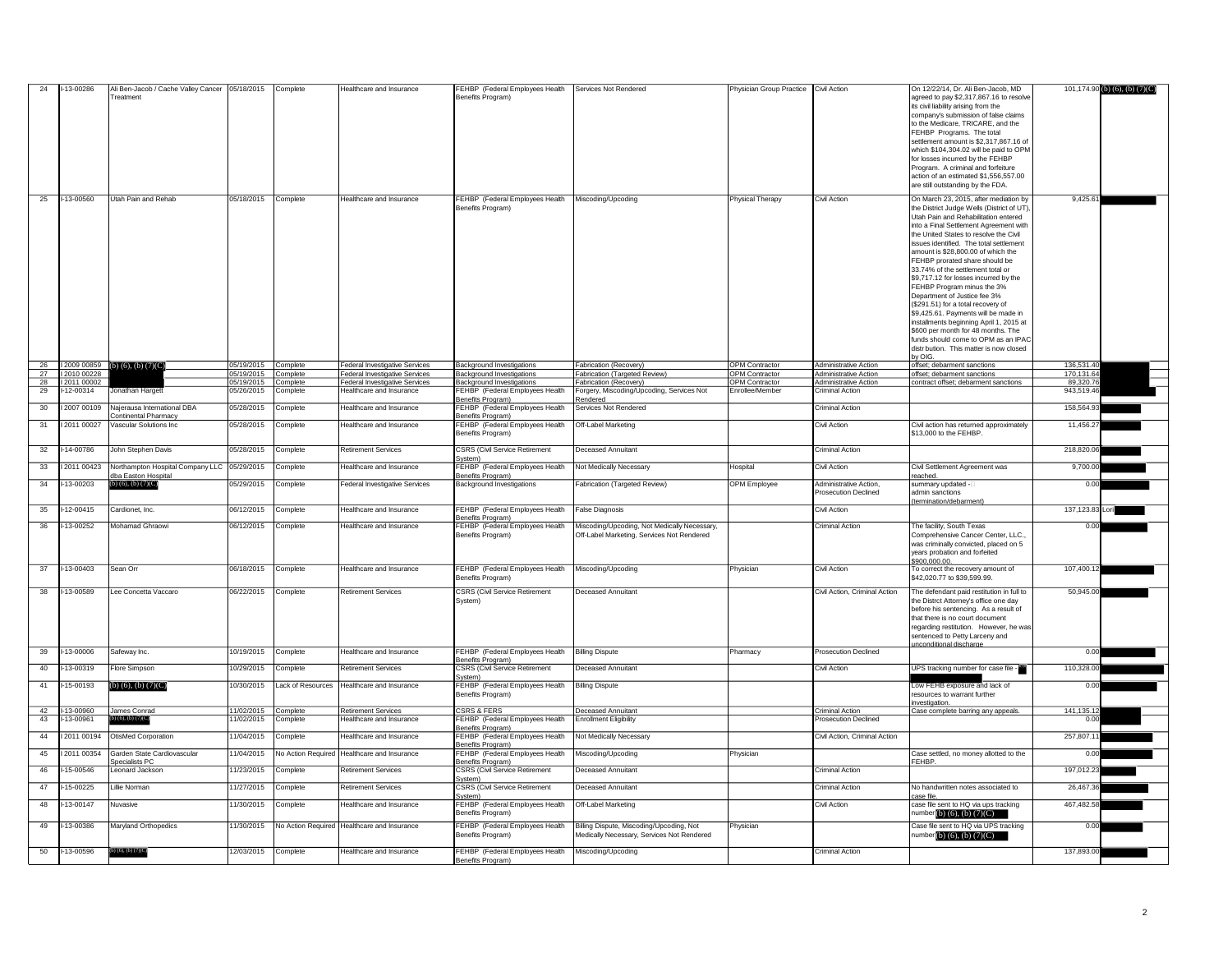|          | I-13-00286                | Ali Ben-Jacob / Cache Valley Cancer   05/18/2015<br><b>Treatment</b>           |                          | Complete             | Healthcare and Insurance                                          | FEHBP (Federal Employees Health<br>Benefits Program)                                     | Services Not Rendered                                                                      | Physician Group Practice                 | Civil Action                                          | On 12/22/14. Dr. Ali Ben-Jacob. MD<br>agreed to pay \$2,317,867.16 to resolve<br>its civil liability arising from the                                                                                                                                                                                                                                                                                                                                                                                                                                             |                         | 101,174.90 (b) (6), (b) $(7)(C)$ |
|----------|---------------------------|--------------------------------------------------------------------------------|--------------------------|----------------------|-------------------------------------------------------------------|------------------------------------------------------------------------------------------|--------------------------------------------------------------------------------------------|------------------------------------------|-------------------------------------------------------|-------------------------------------------------------------------------------------------------------------------------------------------------------------------------------------------------------------------------------------------------------------------------------------------------------------------------------------------------------------------------------------------------------------------------------------------------------------------------------------------------------------------------------------------------------------------|-------------------------|----------------------------------|
|          |                           |                                                                                |                          |                      |                                                                   |                                                                                          |                                                                                            |                                          |                                                       | company's submission of false claims<br>to the Medicare, TRICARE, and the<br>FEHBP Programs. The total<br>settlement amount is \$2,317,867.16 of<br>which \$104,304.02 will be paid to OPM<br>for losses incurred by the FEHBP<br>Program. A criminal and forfeiture                                                                                                                                                                                                                                                                                              |                         |                                  |
|          |                           |                                                                                |                          |                      |                                                                   |                                                                                          |                                                                                            |                                          |                                                       | action of an estimated \$1,556,557.00<br>are still outstanding by the FDA.                                                                                                                                                                                                                                                                                                                                                                                                                                                                                        |                         |                                  |
| 25       | -13-00560                 | Utah Pain and Rehab                                                            | 05/18/2015               | Complete             | Healthcare and Insurance                                          | FEHBP (Federal Employees Health<br>Benefits Program)                                     | Miscoding/Upcoding                                                                         | <b>Physical Therapy</b>                  | Civil Action                                          | On March 23, 2015, after mediation by<br>the District Judge Wells (District of UT),<br>Utah Pain and Rehabilitation entered<br>into a Final Settlement Agreement with                                                                                                                                                                                                                                                                                                                                                                                             | 9,425.61                |                                  |
|          |                           |                                                                                |                          |                      |                                                                   |                                                                                          |                                                                                            |                                          |                                                       | the United States to resolve the Civil<br>issues identified. The total settlement<br>amount is \$28,800,00 of which the<br>FEHBP prorated share should be<br>33.74% of the settlement total or<br>\$9,717.12 for losses incurred by the<br>FEHBP Program minus the 3%<br>Department of Justice fee 3%<br>(\$291.51) for a total recovery of<br>\$9,425.61. Payments will be made in<br>installments beginning April 1, 2015 at<br>\$600 per month for 48 months. The<br>funds should come to OPM as an IPAC<br>distr bution. This matter is now closed<br>by OIG. |                         |                                  |
| 26       |                           | 12009 00859 (b) (6), (b) $(7)(C)$                                              | 05/19/2015               | Complete             | <b>Federal Investigative Services</b>                             | <b>Background Investigations</b>                                                         | Fabrication (Recovery)                                                                     | <b>OPM Contractor</b>                    | <b>Administrative Action</b>                          | offset; debarment sanctions                                                                                                                                                                                                                                                                                                                                                                                                                                                                                                                                       | 136,531.40              |                                  |
| 27       | 12010 00228               |                                                                                | 05/19/2015               | Complete             | <b>Federal Investigative Services</b>                             | <b>Background Investigations</b>                                                         | Fabrication (Targeted Review)                                                              | <b>OPM Contractor</b>                    | <b>Administrative Action</b>                          | offset; debarment sanctions                                                                                                                                                                                                                                                                                                                                                                                                                                                                                                                                       | 170,131.64              |                                  |
| 28<br>29 | 12011 00002<br>I-12-00314 | Jonathan Hargett                                                               | 05/19/2015<br>05/26/2015 | Complete<br>Complete | <b>Federal Investigative Services</b><br>Healthcare and Insurance | <b>Background Investigations</b><br>FEHBP (Federal Employees Health<br>Benefits Program) | Fabrication (Recovery)<br>Forgery, Miscoding/Upcoding, Services Not                        | <b>OPM Contractor</b><br>Enrollee/Member | Administrative Action<br><b>Criminal Action</b>       | contract offset; debarment sanctions                                                                                                                                                                                                                                                                                                                                                                                                                                                                                                                              | 89,320.76<br>943,519.46 |                                  |
| 30       | 2007 00109                | Najerausa International DBA<br><b>Continental Pharmacy</b>                     | 05/28/2015               | Complete             | Healthcare and Insurance                                          | FEHBP (Federal Employees Health<br>Benefits Program)                                     | Rendered<br>Services Not Rendered                                                          |                                          | <b>Criminal Action</b>                                |                                                                                                                                                                                                                                                                                                                                                                                                                                                                                                                                                                   | 158,564.93              |                                  |
| 31       | 12011 00027               | Vascular Solutions Inc                                                         | 05/28/2015               | Complete             | Healthcare and Insurance                                          | FEHBP (Federal Employees Health<br>Benefits Program)                                     | <b>Off-Label Marketing</b>                                                                 |                                          | Civil Action                                          | Civil action has returned approximately<br>\$13,000 to the FEHBP.                                                                                                                                                                                                                                                                                                                                                                                                                                                                                                 | 11,456.27               |                                  |
| 32       | I-14-00786                | John Stephen Davis                                                             | 05/28/2015               | Complete             | <b>Retirement Services</b>                                        | <b>CSRS (Civil Service Retirement</b><br>System)                                         | <b>Deceased Annuitant</b>                                                                  |                                          | <b>Criminal Action</b>                                |                                                                                                                                                                                                                                                                                                                                                                                                                                                                                                                                                                   | 218,820.06              |                                  |
| 33       |                           | 12011 00423 Northampton Hospital Company LLC 05/29/2015<br>dba Easton Hospital |                          | Complete             | Healthcare and Insurance                                          | FEHBP (Federal Employees Health<br>Benefits Program)                                     | Not Medically Necessary                                                                    | Hospital                                 | Civil Action                                          | Civil Settlement Agreement was<br>reached.                                                                                                                                                                                                                                                                                                                                                                                                                                                                                                                        | 9,700.00                |                                  |
| 34       | I-13-00203                | $(b)$ (6), (b) (7)(C)                                                          | 05/29/2015               | Complete             | <b>Federal Investigative Services</b>                             | <b>Background Investigations</b>                                                         | Fabrication (Targeted Review)                                                              | <b>OPM</b> Employee                      | Administrative Action,<br><b>Prosecution Declined</b> | summary updated -<br>admin sanctions<br>(termination/debarment)                                                                                                                                                                                                                                                                                                                                                                                                                                                                                                   | 0.00                    |                                  |
| 35       | I-12-00415                | Cardionet, Inc.                                                                | 06/12/2015               | Complete             | Healthcare and Insurance                                          | FEHBP (Federal Employees Health<br>Benefits Program)                                     | <b>False Diagnosis</b>                                                                     |                                          | Civil Action                                          |                                                                                                                                                                                                                                                                                                                                                                                                                                                                                                                                                                   | 137,123.83 Lori         |                                  |
| 36       | I-13-00252                | Mohamad Ghraowi                                                                | 06/12/2015               | Complete             | Healthcare and Insurance                                          | FEHBP (Federal Employees Health<br>Benefits Program)                                     | Miscoding/Upcoding, Not Medically Necessary,<br>Off-Label Marketing, Services Not Rendered |                                          | <b>Criminal Action</b>                                | The facility, South Texas<br>Comprehensive Cancer Center, LLC.,<br>was criminally convicted, placed on 5<br>years probation and forfeited<br>\$900,000.00.                                                                                                                                                                                                                                                                                                                                                                                                        | 0.00                    |                                  |
| 37       | I-13-00403                | Sean Orr                                                                       | 06/18/2015               | Complete             | Healthcare and Insurance                                          | FEHBP (Federal Employees Health<br>Benefits Program)                                     | Miscoding/Upcoding                                                                         | Physician                                | <b>Civil Action</b>                                   | To correct the recovery amount of<br>\$42,020.77 to \$39,599.99.                                                                                                                                                                                                                                                                                                                                                                                                                                                                                                  | 107,400.12              |                                  |
| 38       | I-13-00589                | Lee Concetta Vaccaro                                                           | 06/22/2015               | Complete             | <b>Retirement Services</b>                                        | <b>CSRS (Civil Service Retirement</b><br>System)                                         | Deceased Annuitant                                                                         |                                          | Civil Action, Criminal Action                         | The defendant paid restitution in full to<br>the Distrct Attorney's office one day<br>before his sentencing. As a result of<br>that there is no court document<br>regarding restitution. However, he was<br>sentenced to Petty Larceny and<br>unconditional discharge                                                                                                                                                                                                                                                                                             | 50,945.00               |                                  |
| 39       | I-13-00006                | Safeway Inc.                                                                   | 10/19/2015               | Complete             | Healthcare and Insurance                                          | FEHBP (Federal Employees Health<br>Benefits Program)                                     | <b>Billing Dispute</b>                                                                     | Pharmacy                                 | <b>Prosecution Declined</b>                           |                                                                                                                                                                                                                                                                                                                                                                                                                                                                                                                                                                   | 0.00                    |                                  |
| 40       | I-13-00319                | Flore Simpson                                                                  | 10/29/2015               | Complete             | <b>Retirement Services</b>                                        | <b>CSRS (Civil Service Retirement</b><br>System)                                         | <b>Deceased Annuitant</b>                                                                  |                                          | Civil Action                                          | UPS tracking number for case file - 00                                                                                                                                                                                                                                                                                                                                                                                                                                                                                                                            | 110,328.00              |                                  |
| 41       | I-15-00193                | $\overline{(b)(6)}$ , $(b)(7)(C)$                                              | 10/30/2015               | ack of Resources     | Healthcare and Insurance                                          | FEHBP (Federal Employees Health<br>Benefits Program)                                     | <b>Billing Dispute</b>                                                                     |                                          |                                                       | Low FEHB exposure and lack of<br>resources to warrant further<br>investigation.                                                                                                                                                                                                                                                                                                                                                                                                                                                                                   | 0.00                    |                                  |
| 42<br>43 | I-13-00960<br>-13-00961   | James Conrad<br>b) (6), (b) $(7)(C)$                                           | 11/02/2015<br>11/02/2015 | Complete<br>Complete | <b>Retirement Services</b><br>Healthcare and Insurance            | <b>CSRS &amp; FERS</b><br>FEHBP (Federal Employees Health<br>Benefits Program)           | <b>Deceased Annuitant</b><br><b>Enrollment Eligibility</b>                                 |                                          | Criminal Action<br><b>Prosecution Declined</b>        | Case complete barring any appeals.                                                                                                                                                                                                                                                                                                                                                                                                                                                                                                                                | 141,135.12<br>0.00      |                                  |
| 44       | 2011 00194                | OtisMed Corporation                                                            | 11/04/2015               | Complete             | Healthcare and Insurance                                          | FEHBP (Federal Employees Health<br>Benefits Program)                                     | Not Medically Necessary                                                                    |                                          | Civil Action, Criminal Action                         |                                                                                                                                                                                                                                                                                                                                                                                                                                                                                                                                                                   | 257,807.11              |                                  |
| 45       | 2011 00354                | Garden State Cardiovascular<br><b>Specialists PC</b>                           | 11/04/2015               |                      | No Action Required Healthcare and Insurance                       | FEHBP (Federal Employees Health<br>Benefits Program)                                     | Miscoding/Upcoding                                                                         | Physician                                |                                                       | Case settled, no money allotted to the<br>FEHBP.                                                                                                                                                                                                                                                                                                                                                                                                                                                                                                                  | 0.00                    |                                  |
| 46       | -15-00546                 | Leonard Jackson                                                                | 11/23/2015               | Complete             | <b>Retirement Services</b>                                        | <b>CSRS (Civil Service Retirement</b><br>System)                                         | Deceased Annuitant                                                                         |                                          | <b>Criminal Action</b>                                |                                                                                                                                                                                                                                                                                                                                                                                                                                                                                                                                                                   | 197,012.23              |                                  |
| 47       | -15-00225                 | Lillie Norman                                                                  | 11/27/2015               | Complete             | <b>Retirement Services</b>                                        | <b>CSRS</b> (Civil Service Retirement<br>Svstem)                                         | <b>Deceased Annuitant</b>                                                                  |                                          | <b>Criminal Action</b>                                | No handwritten notes associated to<br>case file.                                                                                                                                                                                                                                                                                                                                                                                                                                                                                                                  | 26,467.36               |                                  |
| 48       | I-13-00147                | Nuvasive                                                                       | 11/30/2015               | Complete             | Healthcare and Insurance                                          | FEHBP (Federal Employees Health<br>Benefits Program)                                     | <b>Off-Label Marketing</b>                                                                 |                                          | <b>Civil Action</b>                                   | case file sent to HQ via ups tracking<br>number $(b)$ $(6)$ , $(b)$ $(7)(C)$                                                                                                                                                                                                                                                                                                                                                                                                                                                                                      | 467,482.58              |                                  |
| 49       | -13-00386                 | Maryland Orthopedics                                                           | 11/30/2015               |                      | No Action Required Healthcare and Insurance                       | FEHBP (Federal Employees Health<br>Benefits Program)                                     | Billing Dispute, Miscoding/Upcoding, Not<br>Medically Necessary, Services Not Rendered     | Physician                                |                                                       | Case file sent to HQ via UPS tracking<br>number (b) $(6)$ , $(b)$ $(7)(C)$                                                                                                                                                                                                                                                                                                                                                                                                                                                                                        | 0.00                    |                                  |
| 50       | I-13-00596                | b) (6), (b) $(7)(C)$                                                           | 12/03/2015               | Complete             | Healthcare and Insurance                                          | FEHBP (Federal Employees Health<br>Benefits Program)                                     | Miscoding/Upcoding                                                                         |                                          | <b>Criminal Action</b>                                |                                                                                                                                                                                                                                                                                                                                                                                                                                                                                                                                                                   | 137,893.00              |                                  |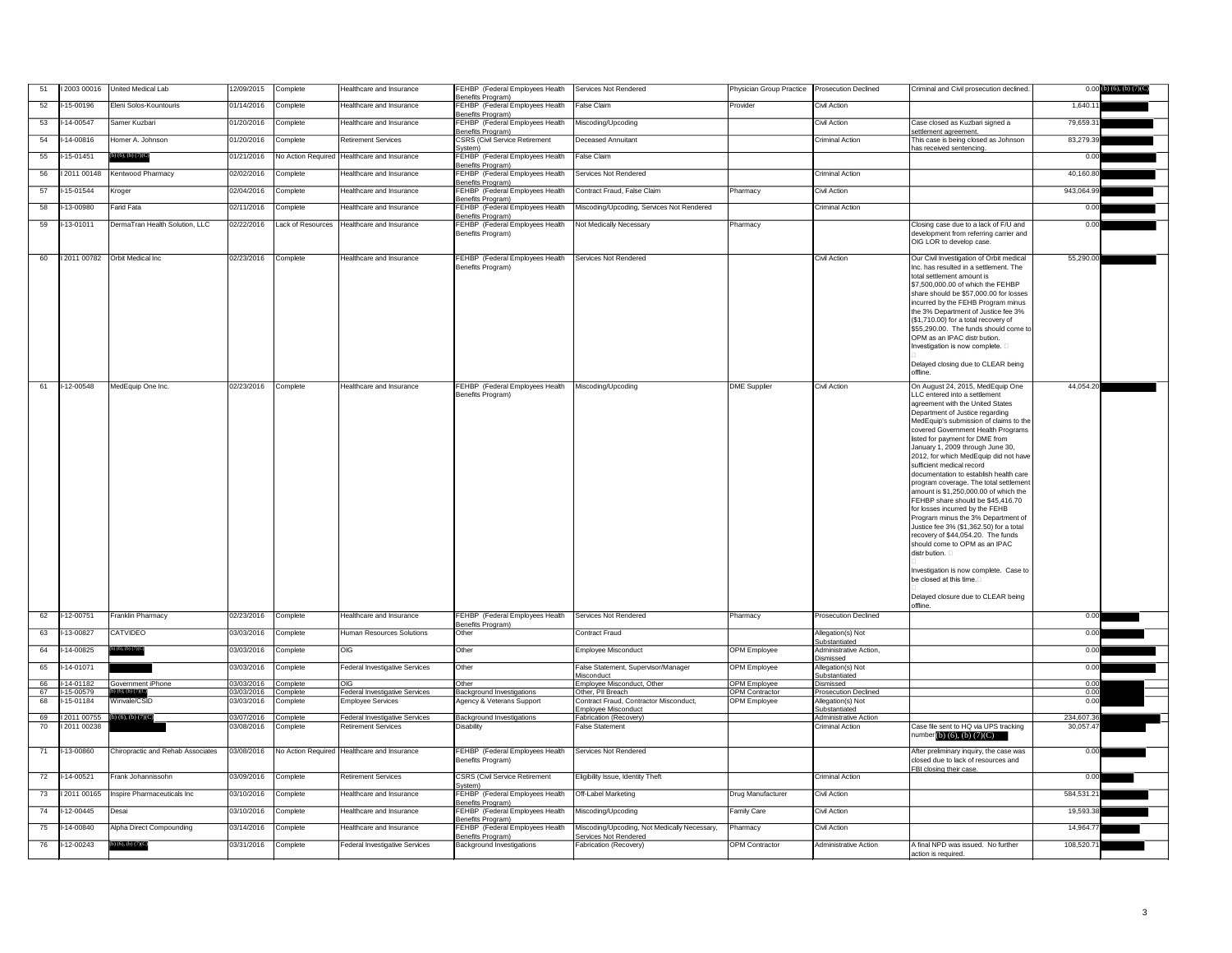| 51 | 12003 00016                     | United Medical Lab                | 12/09/2015 | Complete          | Healthcare and Insurance                    | FEHBP (Federal Employees Health<br>Benefits Program)  | Services Not Rendered                                                | Physician Group Practice | <b>Prosecution Declined</b>             | Criminal and Civil prosecution declined.                                                                                                                                                                                                                                                                                                                                                                                                                                                                                                                                                                                                                                                                                                                                                                                                                              | $0.00$ (b) (6), (b) (7)(C) |
|----|---------------------------------|-----------------------------------|------------|-------------------|---------------------------------------------|-------------------------------------------------------|----------------------------------------------------------------------|--------------------------|-----------------------------------------|-----------------------------------------------------------------------------------------------------------------------------------------------------------------------------------------------------------------------------------------------------------------------------------------------------------------------------------------------------------------------------------------------------------------------------------------------------------------------------------------------------------------------------------------------------------------------------------------------------------------------------------------------------------------------------------------------------------------------------------------------------------------------------------------------------------------------------------------------------------------------|----------------------------|
| 52 | I-15-00196                      | Eleni Solos-Kountouris            | 01/14/2016 | Complete          | Healthcare and Insurance                    | FEHBP (Federal Employees Health<br>Benefits Program)  | <b>False Claim</b>                                                   | Provider                 | <b>Civil Action</b>                     |                                                                                                                                                                                                                                                                                                                                                                                                                                                                                                                                                                                                                                                                                                                                                                                                                                                                       | 1,640.11                   |
| 53 | $-14 - 00547$                   | Samer Kuzbari                     | 01/20/2016 | Complete          | Healthcare and Insurance                    | FEHBP (Federal Employees Health<br>Benefits Program)  | Miscoding/Upcoding                                                   |                          | Civil Action                            | Case closed as Kuzbari signed a<br>settlement agreement.                                                                                                                                                                                                                                                                                                                                                                                                                                                                                                                                                                                                                                                                                                                                                                                                              | 79,659.31                  |
| 54 | I-14-00816                      | Homer A. Johnson                  | 01/20/2016 | Complete          | <b>Retirement Services</b>                  | <b>CSRS (Civil Service Retirement</b>                 | Deceased Annuitant                                                   |                          | <b>Criminal Action</b>                  | This case is being closed as Johnson                                                                                                                                                                                                                                                                                                                                                                                                                                                                                                                                                                                                                                                                                                                                                                                                                                  | 83,279.39                  |
| 55 | $-15 - 01451$                   | (b) (6), (b) $(7)(C)$             | 01/21/2016 |                   | No Action Required Healthcare and Insurance | System)<br>FEHBP (Federal Employees Health            | <b>False Claim</b>                                                   |                          |                                         | has received sentencing.                                                                                                                                                                                                                                                                                                                                                                                                                                                                                                                                                                                                                                                                                                                                                                                                                                              | 0.00                       |
| 56 | 12011 00148                     | Kentwood Pharmacy                 | 02/02/2016 | Complete          | Healthcare and Insurance                    | Benefits Program)<br>FEHBP (Federal Employees Health  | Services Not Rendered                                                |                          | <b>Criminal Action</b>                  |                                                                                                                                                                                                                                                                                                                                                                                                                                                                                                                                                                                                                                                                                                                                                                                                                                                                       | 40,160.80                  |
| 57 | I-15-01544                      | Kroger                            | 02/04/2016 | Complete          | Healthcare and Insurance                    | Benefits Program)<br>FEHBP (Federal Employees Health  | Contract Fraud, False Claim                                          | Pharmacy                 | Civil Action                            |                                                                                                                                                                                                                                                                                                                                                                                                                                                                                                                                                                                                                                                                                                                                                                                                                                                                       | 943,064.99                 |
| 58 | I-13-00980                      | Farid Fata                        | 02/11/2016 | Complete          | Healthcare and Insurance                    | Benefits Program)<br>FEHBP (Federal Employees Health  | Miscoding/Upcoding, Services Not Rendered                            |                          | <b>Criminal Action</b>                  |                                                                                                                                                                                                                                                                                                                                                                                                                                                                                                                                                                                                                                                                                                                                                                                                                                                                       | 0.00                       |
| 59 | $I-13-01011$                    | DermaTran Health Solution, LLC    | 02/22/2016 | Lack of Resources | Healthcare and Insurance                    | Benefits Program)<br>FEHBP (Federal Employees Health  | Not Medically Necessary                                              | Pharmacy                 |                                         | Closing case due to a lack of F/U and                                                                                                                                                                                                                                                                                                                                                                                                                                                                                                                                                                                                                                                                                                                                                                                                                                 | 0.00                       |
|    |                                 |                                   |            |                   |                                             | Benefits Program)                                     |                                                                      |                          |                                         | development from referring carrier and<br>OIG LOR to develop case.                                                                                                                                                                                                                                                                                                                                                                                                                                                                                                                                                                                                                                                                                                                                                                                                    |                            |
| 60 | 12011 00782                     | Orbit Medical Inc                 | 02/23/2016 | Complete          | Healthcare and Insurance                    | FEHBP (Federal Employees Health<br>Benefits Program)  | Services Not Rendered                                                |                          | Civil Action                            | Our Civil Investigation of Orbit medical<br>Inc. has resulted in a settlement. The<br>total settlement amount is<br>\$7,500,000.00 of which the FEHBP<br>share should be \$57,000.00 for losses<br>incurred by the FEHB Program minus<br>the 3% Department of Justice fee 3%<br>(\$1,710.00) for a total recovery of<br>\$55,290.00. The funds should come to<br>OPM as an IPAC distr bution.<br>Investigation is now complete.<br>Delayed closing due to CLEAR being<br>offline.                                                                                                                                                                                                                                                                                                                                                                                     | 55,290.00                  |
| 61 | I-12-00548                      | MedEquip One Inc                  | 02/23/2016 | Complete          | Healthcare and Insurance                    | FEHBP (Federal Employees Health<br>Benefits Program)  | Miscoding/Upcoding                                                   | <b>DME</b> Supplier      | Civil Action                            | On August 24, 2015, MedEquip One<br>LLC entered into a settlement<br>agreement with the United States<br>Department of Justice regarding<br>MedEquip's submission of claims to the<br>covered Government Health Programs<br>listed for payment for DME from<br>January 1, 2009 through June 30,<br>2012, for which MedEquip did not have<br>sufficient medical record<br>documentation to establish health care<br>program coverage. The total settlement<br>amount is \$1,250,000.00 of which the<br>FEHBP share should be \$45,416.70<br>for losses incurred by the FEHB<br>Program minus the 3% Department of<br>Justice fee 3% (\$1,362.50) for a total<br>recovery of \$44,054.20. The funds<br>should come to OPM as an IPAC<br>distr bution. $\Box$<br>Investigation is now complete. Case to<br>be closed at this time.<br>Delayed closure due to CLEAR being | 44,054.20                  |
| 62 | I-12-00751                      | Franklin Pharmacy                 | 02/23/2016 | Complete          | Healthcare and Insurance                    | FEHBP (Federal Employees Health                       | <b>Services Not Rendered</b>                                         | Pharmacy                 | <b>Prosecution Declined</b>             | offline.                                                                                                                                                                                                                                                                                                                                                                                                                                                                                                                                                                                                                                                                                                                                                                                                                                                              | 0.00                       |
| 63 | I-13-00827                      | <b>CATVIDEO</b>                   | 03/03/2016 | Complete          | <b>Human Resources Solutions</b>            | Benefits Program)<br>Other                            | <b>Contract Fraud</b>                                                |                          | Allegation(s) Not                       |                                                                                                                                                                                                                                                                                                                                                                                                                                                                                                                                                                                                                                                                                                                                                                                                                                                                       | 0.00                       |
| 64 | I-14-00825                      | (6), (b) (7)(C)                   | 03/03/2016 | Complete          | OIG                                         | Other                                                 | Employee Misconduct                                                  | <b>OPM</b> Employee      | Substantiated<br>Administrative Action, |                                                                                                                                                                                                                                                                                                                                                                                                                                                                                                                                                                                                                                                                                                                                                                                                                                                                       | 0.00                       |
| 65 | I-14-01071                      |                                   | 03/03/2016 | Complete          | Federal Investigative Services              | Other                                                 | False Statement, Supervisor/Manager                                  | <b>OPM Employee</b>      | Dismissed<br>Allegation(s) Not          |                                                                                                                                                                                                                                                                                                                                                                                                                                                                                                                                                                                                                                                                                                                                                                                                                                                                       | 0.00                       |
| 66 | I-14-01182                      | Government iPhone                 | 03/03/2016 | Complete          | OIG I                                       | Other                                                 | Misconduct<br>Employee Misconduct, Other                             | <b>OPM Employee</b>      | Substantiated<br>Dismissed              |                                                                                                                                                                                                                                                                                                                                                                                                                                                                                                                                                                                                                                                                                                                                                                                                                                                                       | 0.00                       |
| 67 | -15-00579                       | (6), (b) $(7)(C)$                 | 03/03/2016 | Complete          | <b>Federal Investigative Services</b>       | Background Investigations                             | Other, PII Breach                                                    | <b>OPM Contractor</b>    | <b>Prosecution Declined</b>             |                                                                                                                                                                                                                                                                                                                                                                                                                                                                                                                                                                                                                                                                                                                                                                                                                                                                       | 0.00                       |
| 68 | I-15-01184                      | Winvale/CSID                      | 03/03/2016 | Complete          | <b>Employee Services</b>                    | Agency & Veterans Support                             | Contract Fraud, Contractor Misconduct,<br><b>Employee Misconduct</b> | <b>OPM</b> Employee      | Allegation(s) Not<br>Substantiated      |                                                                                                                                                                                                                                                                                                                                                                                                                                                                                                                                                                                                                                                                                                                                                                                                                                                                       | 0.00                       |
| 69 | 12011 00755 (b) (6), (b) (7)(C) |                                   | 03/07/2016 | Complete          | <b>Federal Investigative Services</b>       | <b>Background Investigations</b>                      | <b>Fabrication (Recovery)</b>                                        |                          | <b>Administrative Action</b>            |                                                                                                                                                                                                                                                                                                                                                                                                                                                                                                                                                                                                                                                                                                                                                                                                                                                                       | 234,607.36                 |
| 70 | 12011 00238                     |                                   | 03/08/2016 | Complete          | <b>Retirement Services</b>                  | Disability                                            | False Statement                                                      |                          | <b>Criminal Action</b>                  | Case file sent to HQ via UPS tracking<br>number $(b)$ $(6)$ , $(b)$ $(7)(C)$                                                                                                                                                                                                                                                                                                                                                                                                                                                                                                                                                                                                                                                                                                                                                                                          | 30,057.47                  |
| 71 | I-13-00860                      | Chiropractic and Rehab Associates | 03/08/2016 |                   | No Action Required Healthcare and Insurance | FEHBP (Federal Employees Health<br>Benefits Program)  | Services Not Rendered                                                |                          |                                         | After preliminary inquiry, the case was<br>closed due to lack of resources and                                                                                                                                                                                                                                                                                                                                                                                                                                                                                                                                                                                                                                                                                                                                                                                        | 0.00                       |
| 72 | I-14-00521                      | Frank Johannissohn                | 03/09/2016 | Complete          | <b>Retirement Services</b>                  | <b>CSRS (Civil Service Retirement</b>                 | Eligibility Issue, Identity Theft                                    |                          | <b>Criminal Action</b>                  | FBI closing their case.                                                                                                                                                                                                                                                                                                                                                                                                                                                                                                                                                                                                                                                                                                                                                                                                                                               | 0.00                       |
| 73 | 12011 00165                     | Inspire Pharmaceuticals Inc       | 03/10/2016 | Complete          | Healthcare and Insurance                    | system)<br>FEHBP (Federal Employees Health            | <b>Off-Label Marketing</b>                                           | Drug Manufacturer        | Civil Action                            |                                                                                                                                                                                                                                                                                                                                                                                                                                                                                                                                                                                                                                                                                                                                                                                                                                                                       | 584,531.21                 |
| 74 | I-12-00445                      | Desai                             | 03/10/2016 | Complete          | Healthcare and Insurance                    | Benefits Program)<br>FEHBP (Federal Employees Health  | Miscoding/Upcoding                                                   | <b>Family Care</b>       | <b>Civil Action</b>                     |                                                                                                                                                                                                                                                                                                                                                                                                                                                                                                                                                                                                                                                                                                                                                                                                                                                                       | 19,593.38                  |
| 75 | I-14-00840                      | Alpha Direct Compounding          | 03/14/2016 | Complete          | Healthcare and Insurance                    | Benefits Program)<br>FEHBP (Federal Employees Health  | Miscoding/Upcoding, Not Medically Necessary,                         | Pharmacy                 | Civil Action                            |                                                                                                                                                                                                                                                                                                                                                                                                                                                                                                                                                                                                                                                                                                                                                                                                                                                                       | 14,964.77                  |
| 76 | I-12-00243                      | (b) $(6)$ , $(b)$ $(7)(C)$        | 03/31/2016 | Complete          | <b>Federal Investigative Services</b>       | Benefits Program)<br><b>Background Investigations</b> | <b>Services Not Rendered</b><br>Fabrication (Recovery)               | <b>OPM</b> Contractor    | Administrative Action                   | A final NPD was issued. No further                                                                                                                                                                                                                                                                                                                                                                                                                                                                                                                                                                                                                                                                                                                                                                                                                                    | 108,520.71                 |
|    |                                 |                                   |            |                   |                                             |                                                       |                                                                      |                          |                                         | action is required                                                                                                                                                                                                                                                                                                                                                                                                                                                                                                                                                                                                                                                                                                                                                                                                                                                    |                            |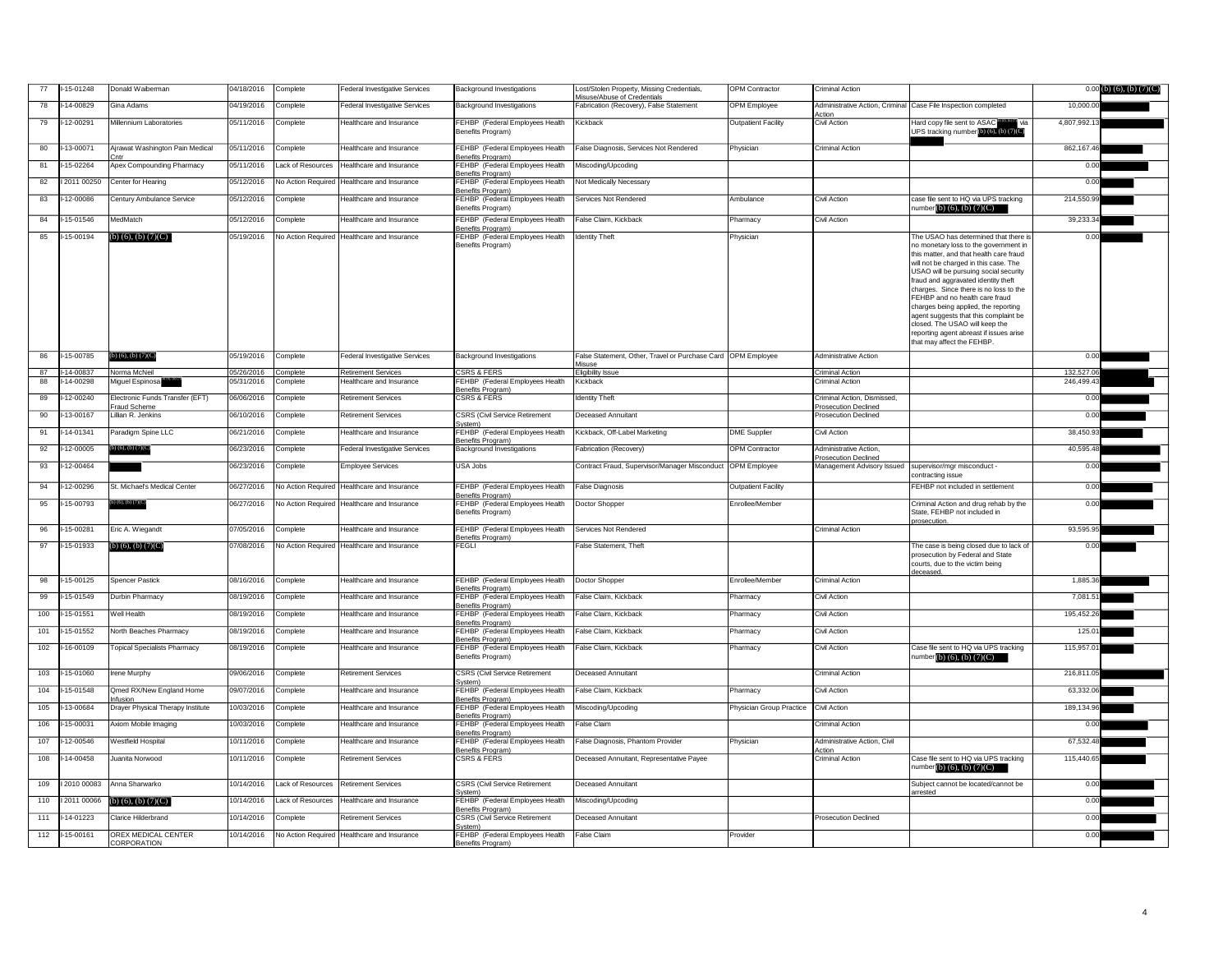| 77  | $-15 - 01248$ | Donald Waiberman                                | 04/18/2016 | Complete          | <b>Federal Investigative Services</b>        | <b>Background Investigations</b>                                          | Lost/Stolen Property, Missing Credentials,<br>Misuse/Abuse of Credentials | <b>OPM</b> Contractor      | <b>Criminal Action</b>                                                                  |                                                                                                                                                                                                                                                                                                                                                                                                                                                                                   | $0.00$ (b) (6), (b) (7)(C) |
|-----|---------------|-------------------------------------------------|------------|-------------------|----------------------------------------------|---------------------------------------------------------------------------|---------------------------------------------------------------------------|----------------------------|-----------------------------------------------------------------------------------------|-----------------------------------------------------------------------------------------------------------------------------------------------------------------------------------------------------------------------------------------------------------------------------------------------------------------------------------------------------------------------------------------------------------------------------------------------------------------------------------|----------------------------|
| 78  | $-14 - 00829$ | Gina Adams                                      | 04/19/2016 | Complete          | Federal Investigative Services               | <b>Background Investigations</b>                                          | Fabrication (Recovery), False Statement                                   | OPM Employee               | Action                                                                                  | Administrative Action, Criminal Case File Inspection completed                                                                                                                                                                                                                                                                                                                                                                                                                    | 10,000.00                  |
| 79  | $-12 - 00291$ | Millennium Laboratories                         | 05/11/2016 | Complete          | Healthcare and Insurance                     | FEHBP (Federal Employees Health<br>Benefits Program)                      | Kickback                                                                  | <b>Outpatient Facility</b> | Civil Action                                                                            | Hard copy file sent to ASAC <b>brox</b> or via<br>UPS tracking number (b) (6), (b) (7)(C)                                                                                                                                                                                                                                                                                                                                                                                         | 4,807,992.13               |
| 80  | $-13 - 00071$ | Ajrawat Washington Pain Medical                 | 05/11/2016 | Complete          | Healthcare and Insurance                     | FEHBP (Federal Employees Health<br>Benefits Program)                      | False Diagnosis, Services Not Rendered                                    | Physician                  | <b>Criminal Action</b>                                                                  |                                                                                                                                                                                                                                                                                                                                                                                                                                                                                   | 862,167.46                 |
| 81  | $-15 - 02264$ | <b>Apex Compounding Pharmacy</b>                | 05/11/2016 |                   | Lack of Resources   Healthcare and Insurance | FEHBP (Federal Employees Health<br>Benefits Program)                      | Miscoding/Upcoding                                                        |                            |                                                                                         |                                                                                                                                                                                                                                                                                                                                                                                                                                                                                   | 0.00                       |
| 82  | 2011 00250    | Center for Hearing                              | 05/12/2016 |                   | No Action Required Healthcare and Insurance  | FEHBP (Federal Employees Health                                           | Not Medically Necessary                                                   |                            |                                                                                         |                                                                                                                                                                                                                                                                                                                                                                                                                                                                                   | 0.00                       |
| 83  | $-12 - 00086$ | Century Ambulance Service                       | 05/12/2016 | Complete          | Healthcare and Insurance                     | Benefits Program)<br>FEHBP (Federal Employees Health                      | Services Not Rendered                                                     | Ambulance                  | <b>Civil Action</b>                                                                     | case file sent to HQ via UPS tracking                                                                                                                                                                                                                                                                                                                                                                                                                                             | 214,550.99                 |
| 84  | 15-01546      | MedMatch                                        | 05/12/2016 | Complete          | Healthcare and Insurance                     | Benefits Program)<br>FEHBP (Federal Employees Health                      | False Claim, Kickback                                                     | Pharmacy                   | <b>Civil Action</b>                                                                     | number(b) $(6)$ , $(b)$ $(7)(C)$                                                                                                                                                                                                                                                                                                                                                                                                                                                  | 39,233.34                  |
| 85  | $-15 - 00194$ | (b) $(6)$ , $(b)$ $(7)(C)$                      | 05/19/2016 |                   | No Action Required Healthcare and Insurance  | Benefits Program)<br>FEHBP (Federal Employees Health                      | <b>Identity Theft</b>                                                     | Physician                  |                                                                                         | The USAO has determined that there is                                                                                                                                                                                                                                                                                                                                                                                                                                             | 0.00                       |
|     |               |                                                 |            |                   |                                              | Benefits Program)                                                         |                                                                           |                            |                                                                                         | no monetary loss to the government in<br>this matter, and that health care fraud<br>will not be charged in this case. The<br>USAO will be pursuing social security<br>fraud and aggravated identity theft<br>charges. Since there is no loss to the<br>FEHBP and no health care fraud<br>charges being applied, the reporting<br>agent suggests that this complaint be<br>closed. The USAO will keep the<br>reporting agent abreast if issues arise<br>that may affect the FEHBP. |                            |
| 86  | 15-00785      | b) $(6)$ , $(b)$ $(7)(C)$                       | 05/19/2016 | Complete          | Federal Investigative Services               | <b>Background Investigations</b>                                          | False Statement, Other, Travel or Purchase Card   OPM Employee            |                            | <b>Administrative Action</b>                                                            |                                                                                                                                                                                                                                                                                                                                                                                                                                                                                   | 0.00                       |
| 87  | $-14 - 00837$ | Norma McNeil                                    | 05/26/2016 | Complete          | <b>Retirement Services</b>                   | <b>CSRS &amp; FERS</b>                                                    | <b>Misuse</b><br><b>Eligibility Issue</b>                                 |                            | Criminal Action                                                                         |                                                                                                                                                                                                                                                                                                                                                                                                                                                                                   | 132,527.06                 |
| 88  | 14-00298      | Miguel Espinosa <sup>®</sup>                    | 05/31/2016 | Complete          | Healthcare and Insurance                     | FEHBP (Federal Employees Health<br>Benefits Program)                      | Kickback                                                                  |                            | Criminal Action                                                                         |                                                                                                                                                                                                                                                                                                                                                                                                                                                                                   | 246,499.43                 |
| 89  | 12-00240      | Electronic Funds Transfer (EFT)<br>Fraud Scheme | 06/06/2016 | Complete          | <b>Retirement Services</b>                   | <b>CSRS &amp; FERS</b>                                                    | <b>Identity Theft</b>                                                     |                            | Criminal Action, Dismissed<br><b>Prosecution Declined</b>                               |                                                                                                                                                                                                                                                                                                                                                                                                                                                                                   | 0.00                       |
| 90  | -13-00167     | Lillian R. Jenkins                              | 06/10/2016 | Complete          | <b>Retirement Services</b>                   | <b>CSRS (Civil Service Retirement</b>                                     | Deceased Annuitant                                                        |                            | <b>Prosecution Declined</b>                                                             |                                                                                                                                                                                                                                                                                                                                                                                                                                                                                   | 0.00                       |
| 91  | $-14 - 01341$ | Paradigm Spine LLC                              | 06/21/2016 | Complete          | Healthcare and Insurance                     | Svstem)<br>FEHBP (Federal Employees Health                                | Kickback, Off-Label Marketing                                             | <b>DME Supplier</b>        | Civil Action                                                                            |                                                                                                                                                                                                                                                                                                                                                                                                                                                                                   | 38,450.93                  |
| 92  | $-12 - 00005$ | i) (6), (b) (7)(C)                              | 06/23/2016 | Complete          | <b>Federal Investigative Services</b>        | Benefits Program)<br><b>Background Investigations</b>                     | Fabrication (Recovery)                                                    | <b>OPM Contractor</b>      | Administrative Action,                                                                  |                                                                                                                                                                                                                                                                                                                                                                                                                                                                                   | 40,595.48                  |
| 93  | I-12-00464    |                                                 | 06/23/2016 | Complete          | <b>Employee Services</b>                     | USA Jobs                                                                  | Contract Fraud, Supervisor/Manager Misconduct OPM Employee                |                            | <b>Prosecution Declined</b><br>Management Advisory Issued   supervisor/mgr misconduct - |                                                                                                                                                                                                                                                                                                                                                                                                                                                                                   | 0.00                       |
| 94  | $-12 - 00296$ | St. Michael's Medical Center                    | 06/27/2016 |                   | No Action Required Healthcare and Insurance  | FEHBP (Federal Employees Health                                           | <b>False Diagnosis</b>                                                    | <b>Outpatient Facility</b> |                                                                                         | contracting issue<br><b>FEHBP</b> not included in settlement                                                                                                                                                                                                                                                                                                                                                                                                                      | 0.00                       |
| 95  | $I-15-00793$  | $b)$ (6), (b) (7)(C)                            | 06/27/2016 |                   | No Action Required Healthcare and Insurance  | Benefits Program)<br>FEHBP (Federal Employees Health                      | Doctor Shopper                                                            | Enrollee/Member            |                                                                                         | Criminal Action and drug rehab by the                                                                                                                                                                                                                                                                                                                                                                                                                                             | 0.00                       |
|     |               |                                                 |            |                   |                                              | Benefits Program)                                                         |                                                                           |                            |                                                                                         | State, FEHBP not included in<br>prosecution.                                                                                                                                                                                                                                                                                                                                                                                                                                      |                            |
| 96  | $-15 - 00281$ | Eric A. Wiegandt                                | 07/05/2016 | Complete          | Healthcare and Insurance                     | FEHBP (Federal Employees Health<br>Benefits Program)                      | Services Not Rendered                                                     |                            | Criminal Action                                                                         |                                                                                                                                                                                                                                                                                                                                                                                                                                                                                   | 93,595.95                  |
| 97  | -15-01933     | $(b)$ (6), (b) (7)(C)                           | 07/08/2016 |                   | No Action Required Healthcare and Insurance  | <b>FEGLI</b>                                                              | <b>False Statement, Theft</b>                                             |                            |                                                                                         | The case is being closed due to lack of<br>prosecution by Federal and State<br>courts, due to the victim being<br>deceased.                                                                                                                                                                                                                                                                                                                                                       | 0.00                       |
| 98  | $-15 - 00125$ | Spencer Pastick                                 | 08/16/2016 | Complete          | Healthcare and Insurance                     | <b>FEHBP</b> (Federal Employees Health<br>Benefits Program)               | Doctor Shopper                                                            | Enrollee/Member            | Criminal Action                                                                         |                                                                                                                                                                                                                                                                                                                                                                                                                                                                                   | 1,885.36                   |
| 99  | 15-01549      | Durbin Pharmacy                                 | 08/19/2016 | Complete          | Healthcare and Insurance                     | FEHBP (Federal Employees Health                                           | False Claim, Kickback                                                     | Pharmacy                   | <b>Civil Action</b>                                                                     |                                                                                                                                                                                                                                                                                                                                                                                                                                                                                   | 7,081.51                   |
| 100 | $-15 - 01551$ | Well Health                                     | 08/19/2016 | Complete          | <b>Healthcare and Insurance</b>              | Benefits Program)<br>FEHBP (Federal Employees Health                      | False Claim, Kickback                                                     | Pharmacy                   | <b>Civil Action</b>                                                                     |                                                                                                                                                                                                                                                                                                                                                                                                                                                                                   | 195,452.26                 |
| 101 | 15-01552      | North Beaches Pharmacy                          | 08/19/2016 | Complete          | Healthcare and Insurance                     | Benefits Program)<br>FEHBP (Federal Employees Health                      | False Claim, Kickback                                                     | Pharmacy                   | <b>Civil Action</b>                                                                     |                                                                                                                                                                                                                                                                                                                                                                                                                                                                                   | 125.01                     |
| 102 | $-16 - 00109$ | <b>Topical Specialists Pharmacy</b>             | 08/19/2016 | Complete          | Healthcare and Insurance                     | Benefits Program)<br>FEHBP (Federal Employees Health<br>Benefits Program) | False Claim, Kickback                                                     | Pharmacy                   | <b>Civil Action</b>                                                                     | Case file sent to HQ via UPS tracking<br>number (b) $(6)$ , $(b)$ $(7)(C)$                                                                                                                                                                                                                                                                                                                                                                                                        | 115,957.01                 |
| 103 | $-15 - 01060$ | <b>Irene Murphy</b>                             | 09/06/2016 | Complete          | <b>Retirement Services</b>                   | <b>CSRS (Civil Service Retirement</b>                                     | <b>Deceased Annuitant</b>                                                 |                            | <b>Criminal Action</b>                                                                  |                                                                                                                                                                                                                                                                                                                                                                                                                                                                                   | 216,811.05                 |
| 104 | $-15 - 01548$ | Qmed RX/New England Home                        | 09/07/2016 | Complete          | Healthcare and Insurance                     | System)<br>FEHBP (Federal Employees Health                                | False Claim, Kickback                                                     | Pharmacy                   | Civil Action                                                                            |                                                                                                                                                                                                                                                                                                                                                                                                                                                                                   | 63,332.06                  |
| 105 | $-13 - 00684$ | nfusion<br>Drayer Physical Therapy Institute    | 10/03/2016 | Complete          | Healthcare and Insurance                     | Benefits Program)<br>FEHBP (Federal Employees Health                      | Miscoding/Upcoding                                                        | Physician Group Practice   | Civil Action                                                                            |                                                                                                                                                                                                                                                                                                                                                                                                                                                                                   | 189,134.96                 |
| 106 | 15-00031      | Axiom Mobile Imaging                            | 10/03/2016 | Complete          | Healthcare and Insurance                     | Benefits Program)<br>FEHBP (Federal Employees Health                      | <b>False Claim</b>                                                        |                            | <b>Criminal Action</b>                                                                  |                                                                                                                                                                                                                                                                                                                                                                                                                                                                                   | 0.00                       |
| 107 | $-12 - 00546$ | Westfield Hospital                              | 10/11/2016 | Complete          | Healthcare and Insurance                     | Benefits Program)<br>FEHBP (Federal Employees Health                      | False Diagnosis, Phantom Provider                                         | Physician                  | Administrative Action, Civil                                                            |                                                                                                                                                                                                                                                                                                                                                                                                                                                                                   | 67,532.48                  |
| 108 | $-14 - 00458$ | Juanita Norwood                                 | 10/11/2016 | Complete          | <b>Retirement Services</b>                   | Benefits Program)<br><b>CSRS &amp; FERS</b>                               | Deceased Annuitant, Representative Payee                                  |                            | Action<br><b>Criminal Action</b>                                                        | Case file sent to HQ via UPS tracking                                                                                                                                                                                                                                                                                                                                                                                                                                             | 115,440.65                 |
|     |               |                                                 |            |                   |                                              |                                                                           |                                                                           |                            |                                                                                         | number(b) $(6)$ , $(b)$ $(7)(C)$                                                                                                                                                                                                                                                                                                                                                                                                                                                  |                            |
| 109 | 2010 00083    | Anna Sharwarko                                  | 10/14/2016 |                   | Lack of Resources Retirement Services        | <b>CSRS (Civil Service Retirement</b><br>System)                          | <b>Deceased Annuitant</b>                                                 |                            |                                                                                         | Subject cannot be located/cannot be<br>arrested                                                                                                                                                                                                                                                                                                                                                                                                                                   | 0.00                       |
| 110 | 2011 00066    | (b) $(6)$ , (b) $(7)(C)$                        | 10/14/2016 | Lack of Resources | Healthcare and Insurance                     | FEHBP (Federal Employees Health<br>Benefits Program)                      | Miscoding/Upcoding                                                        |                            |                                                                                         |                                                                                                                                                                                                                                                                                                                                                                                                                                                                                   | 0.00                       |
| 111 | $-14 - 01223$ | <b>Clarice Hilderbrand</b>                      | 10/14/2016 | Complete          | <b>Retirement Services</b>                   | <b>CSRS (Civil Service Retirement</b><br>System)                          | Deceased Annuitant                                                        |                            | <b>Prosecution Declined</b>                                                             |                                                                                                                                                                                                                                                                                                                                                                                                                                                                                   | 0.00                       |
| 112 | $1-15-00161$  | <b>OREX MEDICAL CENTER</b><br>CORPORATION       | 10/14/2016 |                   | No Action Required Healthcare and Insurance  | FEHBP (Federal Employees Health<br>Benefits Program)                      | False Claim                                                               | Provider                   |                                                                                         |                                                                                                                                                                                                                                                                                                                                                                                                                                                                                   | 0.00                       |